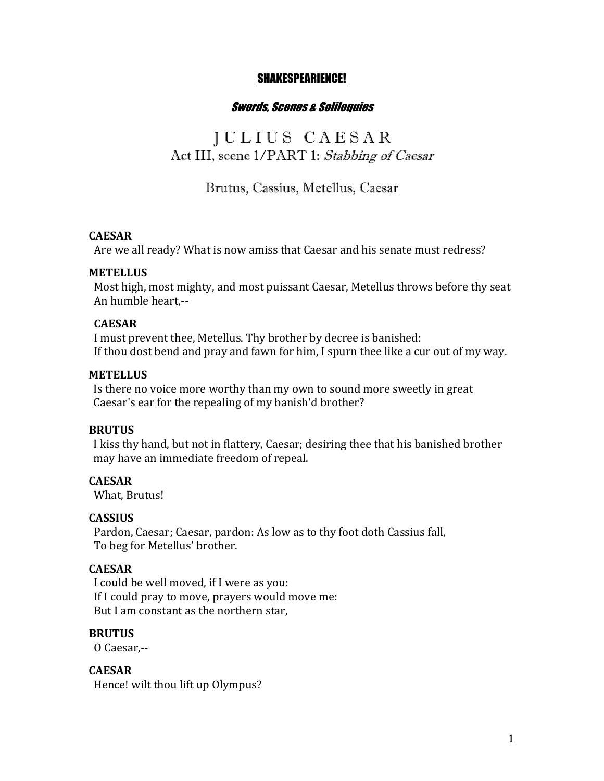## SHAKESPEARIENCE!

## Swords, Scenes & Soliloquies

# J U L I U S C A E S A R Act III, scene 1/PART 1: Stabbing of Caesar

# Brutus, Cassius, Metellus, Caesar

### **CAESAR**

Are we all ready? What is now amiss that Caesar and his senate must redress?

#### **METELLUS**

Most high, most mighty, and most puissant Caesar, Metellus throws before thy seat An humble heart.--

#### **CAESAR**

I must prevent thee, Metellus. Thy brother by decree is banished: If thou dost bend and pray and fawn for him, I spurn thee like a cur out of my way.

### **METELLUS**

Is there no voice more worthy than my own to sound more sweetly in great Caesar's ear for the repealing of my banish'd brother?

### **BRUTUS**

I kiss thy hand, but not in flattery, Caesar; desiring thee that his banished brother may have an immediate freedom of repeal.

#### **CAESAR**

What, Brutus!

### **CASSIUS**

Pardon, Caesar; Caesar, pardon: As low as to thy foot doth Cassius fall, To beg for Metellus' brother.

## **CAESAR**

I could be well moved, if I were as you: If I could pray to move, prayers would move me: But I am constant as the northern star,

#### **BRUTUS**

 O Caesar,--

**CAESAR**  Hence! wilt thou lift up Olympus?